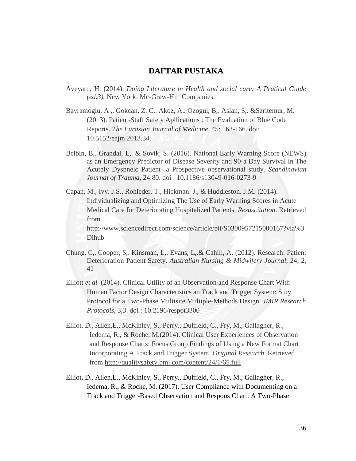## **DAFTAR PUSTAKA**

- Aveyard, H. (2014). *Doing Literature in Health and social care: A Pratical Guide (ed.3).* New York: Mc-Graw-Hill Companies.
- Bayramoglu, A ,. Gokcan, Z. C,. Akoz, A,. Ozogul, B,. Aslan, S,. &Saritemur, M. (2013). Patient-Staff Safety Apllications : The Evaluation of Blue Code Reports. *The Eurasian Journal of Medicine*. 45: 163-166. doi: 10.5152/eajm.2013.34.
- Belbin, B,. Grandal, L,. & Sovik, S. (2016). National Early Warning Score (NEWS) as an Emergency Predictor of Disease Severity and 90-a Day Survival in The Acutely Dyspneic Patient- a Prospective observational study. *Scandinavian Journal of Trauma,* 24:80. doi : 10.1186/s13049-016-0273-9
- Capan, M., Ivy. J.S., Rohleder. T., Hickman. J., & Huddleston. J.M. (2014). Individualizing and Optimizing The Use of Early Warning Scores in Acute Medical Care for Deteriorating Hospitalized Patients. *Resuscitation*. Retrieved from http://www.sciencedirect.com/science/article/pii/S0300957215000167?via%3 Dihub
- Chung, C,. Cooper, S,. Kinsman, L,. Evans, L,.& Cahill, A. (2012). Research: Patient Deterioration Patient Safety. *Australian Nursing & Midwifery Journal*, 24, 2, 41
- Elliott *et al* (2014). Clinical Utility of an Observation and Response Chart With Human Factor Design Characteristics an Track and Trigger System: Stuy Protocol for a Two-Phase Multisite Multiple-Methods Design. *JMIR Research Protocols*, 3,3. doi : 10.2196/respot3300
- Elliot, D., Allen,E., McKinley, S., Perry., Duffield, C., Fry, M., Gallagher, R., Iedema, R., & Roche, M.(2014). Clinical User Experiences of Observation and Response Charts: Focus Group Findings of Using a New Format Chart Incorporating A Track and Trigger System. *Original Research*. Retrieved from<http://qualitysafety.bmj.com/content/24/1/65.full>
- Elliot, D., Allen,E., McKinley, S., Perry., Duffield, C., Fry, M., Gallagher, R., Iedema, R., & Roche, M. (2017). User Compliance with Documenting on a Track and Trigger-Based Observation and Respons Chart: A Two-Phase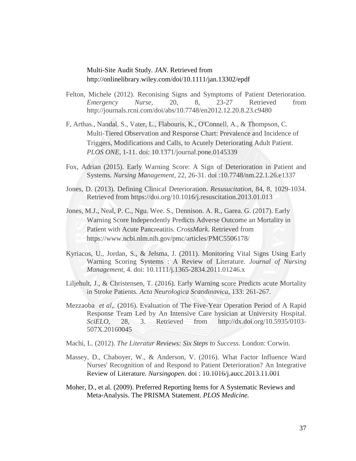## Multi-Site Audit Study. *JAN*. Retrieved from http://onlinelibrary.wiley.com/doi/10.1111/jan.13302/epdf

- Felton, Michele (2012). Reconising Signs and Symptoms of Patient Deterioration. *Emergency Nurse*, 20, 8, 23-27 Retrieved from http://journals.rcni.com/doi/abs/10.7748/en2012.12.20.8.23.c9480
- F, Arthas., Nandal, S., Vater, L., Flabouris, K., O'Connell, A., & Thompson, C. Multi-Tiered Observation and Response Chart: Prevalence and Incidence of Triggers, Modifications and Calls, to Acutely Deteriorating Adult Patient. *PLOS ONE*, 1-11. doi: 10.1371/journal.pone.0145339
- Fox, Adrian (2015). Early Warning Score: A Sign of Deterioration in Patient and Systems. *Nursing Management*, 22, 26-31. doi :10.7748/nm.22.1.26.e1337
- Jones, D. (2013). Defining Clinical Deterioration. *Resusucitation*, 84, 8, 1029-1034. Retrieved from https://doi.org/10.1016/j.resuscitation.2013.01.013
- Jones, M.J., Neal, P. C., Ngu. Wee. S., Dennison. A. R., Garea. G. (2017). Early Warning Score Independently Predicts Adverse Outcome an Mortality in Patient with Acute Pancreatitis. *CrossMark*. Retrieved from https://www.ncbi.nlm.nih.gov/pmc/articles/PMC5506178/
- Kyriacos, U., Jordan, S., & Jelsma, J. (2011). Monitoring Vital Signs Using Early Warning Scoring Systems : A Review of Literature. *Journal of Nursing Management*, 4. doi: 10.1111/j.1365-2834.2011.01246.x
- Liljehult, J., & Christensen, T. (2016). Early Warning score Predicts acute Mortality in Stroke Patients. *Acta Neurologica Scandinavica*, 133: 261-267.
- Mezzaoba *et al,.* (2016). Evaluation of The Five-Year Operation Period of A Rapid Response Team Led by An Intensive Care hysician at University Hospital. *SciELO*, 28, 3. Retrieved from http://dx.doi.org/10.5935/0103- 507X.20160045
- Machi, L. (2012). *The Literatur Reviews: Six Steps to Success.* London: Corwin.
- Massey, D., Chaboyer, W., & Anderson, V. (2016). What Factor Influence Ward Nurses' Recognition of and Respond to Patient Deterioration? An Integrative Review of Literature. *Nursingopen*. doi : 10.1016/j.aucc.2013.11.001
- Moher, D., et al. (2009). Preferred Reporting Items for A Systematic Reviews and Meta-Analysis. The PRISMA Statement. *PLOS Medicine.*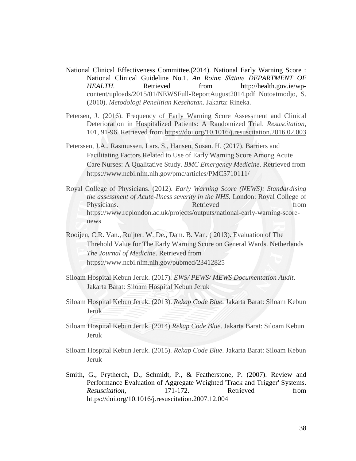- National Clinical Effectiveness Committee.(2014). National Early Warning Score : National Clinical Guideline No.1. *An Roinn Slāinte DEPARTMENT OF HEALTH.* Retrieved from http://health.gov.ie/wpcontent/uploads/2015/01/NEWSFull-ReportAugust2014.pdf Notoatmodjo, S. (2010). *Metodologi Penelitian Kesehatan.* Jakarta: Rineka.
- Petersen, J. (2016). Frequency of Early Warning Score Assessment and Clinical Deterioration in Hospitalized Patients: A Randomized Trial. *Resuscitation*, 101, 91-96. Retrieved from<https://doi.org/10.1016/j.resuscitation.2016.02.003>
- Peterssen, J.A., Rasmussen, Lars. S., Hansen, Susan. H. (2017). Barriers and Facilitating Factors Related to Use of Early Warning Score Among Acute Care Nurses: A Qualitative Study. *BMC Emergency Medicine*. Retrieved from https://www.ncbi.nlm.nih.gov/pmc/articles/PMC5710111/
- Royal College of Physicians. (2012). *Early Warning Score (NEWS): Standardising the assessment of Acute-Ilness severity in the NHS.* London: Royal College of Physicians. Retrieved from Retrieved from  $\mathbb{R}$ https://www.rcplondon.ac.uk/projects/outputs/national-early-warning-scorenews
- Rooijen, C.R. Van., Ruijter. W. De., Dam. B. Van. ( 2013). Evaluation of The Threhold Value for The Early Warning Score on General Wards. Netherlands *The Journal of Medicine*. Retrieved from https://www.ncbi.nlm.nih.gov/pubmed/23412825
- Siloam Hospital Kebun Jeruk. (2017). *EWS/ PEWS/ MEWS Documentation Audit*. Jakarta Barat: Siloam Hospital Kebun Jeruk
- Siloam Hospital Kebun Jeruk. (2013). *Rekap Code Blue*. Jakarta Barat: Siloam Kebun Jeruk
- Siloam Hospital Kebun Jeruk. (2014).*Rekap Code Blue*. Jakarta Barat: Siloam Kebun Jeruk
- Siloam Hospital Kebun Jeruk. (2015). *Rekap Code Blue*. Jakarta Barat: Siloam Kebun Jeruk
- Smith, G., Prytherch, D., Schmidt, P., & Featherstone, P. (2007). Review and Performance Evaluation of Aggregate Weighted 'Track and Trigger' Systems. *Resuscitation*, 171-172. Retrieved from <https://doi.org/10.1016/j.resuscitation.2007.12.004>